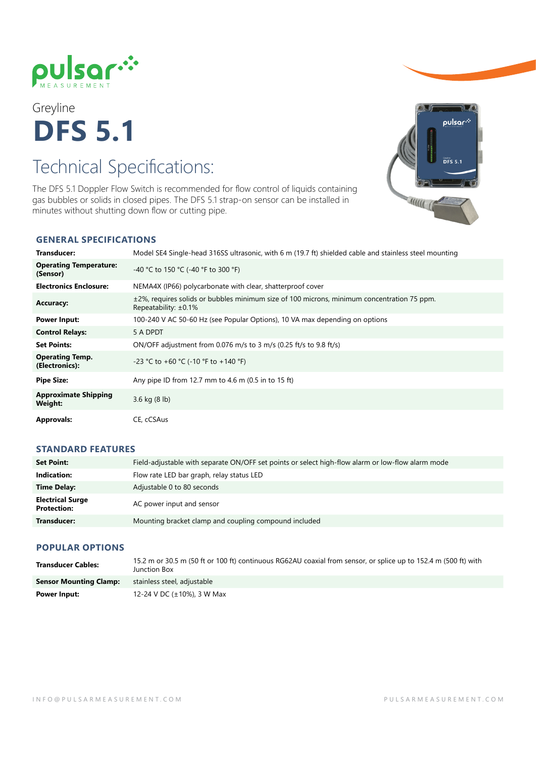

# Greyline **DFS 5.1**

## Technical Specifications:

The DFS 5.1 Doppler Flow Switch is recommended for flow control of liquids containing gas bubbles or solids in closed pipes. The DFS 5.1 strap-on sensor can be installed in minutes without shutting down flow or cutting pipe.



#### **GENERAL SPECIFICATIONS**

| Transducer:                               | Model SE4 Single-head 316SS ultrasonic, with 6 m (19.7 ft) shielded cable and stainless steel mounting                        |
|-------------------------------------------|-------------------------------------------------------------------------------------------------------------------------------|
| <b>Operating Temperature:</b><br>(Sensor) | -40 °C to 150 °C (-40 °F to 300 °F)                                                                                           |
| <b>Electronics Enclosure:</b>             | NEMA4X (IP66) polycarbonate with clear, shatterproof cover                                                                    |
| <b>Accuracy:</b>                          | $\pm$ 2%, requires solids or bubbles minimum size of 100 microns, minimum concentration 75 ppm.<br>Repeatability: $\pm 0.1\%$ |
| <b>Power Input:</b>                       | 100-240 V AC 50-60 Hz (see Popular Options), 10 VA max depending on options                                                   |
| <b>Control Relays:</b>                    | 5 A DPDT                                                                                                                      |
| <b>Set Points:</b>                        | ON/OFF adjustment from 0.076 m/s to 3 m/s (0.25 ft/s to 9.8 ft/s)                                                             |
| <b>Operating Temp.</b><br>(Electronics):  | -23 °C to +60 °C (-10 °F to +140 °F)                                                                                          |
| <b>Pipe Size:</b>                         | Any pipe ID from 12.7 mm to 4.6 m (0.5 in to 15 ft)                                                                           |
| <b>Approximate Shipping</b><br>Weight:    | 3.6 kg $(8 \text{ lb})$                                                                                                       |
| <b>Approvals:</b>                         | CE, cCSAus                                                                                                                    |

#### **STANDARD FEATURES**

| <b>Set Point:</b>                             | Field-adjustable with separate ON/OFF set points or select high-flow alarm or low-flow alarm mode |
|-----------------------------------------------|---------------------------------------------------------------------------------------------------|
| Indication:                                   | Flow rate LED bar graph, relay status LED                                                         |
| Time Delay:                                   | Adjustable 0 to 80 seconds                                                                        |
| <b>Electrical Surge</b><br><b>Protection:</b> | AC power input and sensor                                                                         |
| Transducer:                                   | Mounting bracket clamp and coupling compound included                                             |

#### **POPULAR OPTIONS**

| <b>Transducer Cables:</b>     | 15.2 m or 30.5 m (50 ft or 100 ft) continuous RG62AU coaxial from sensor, or splice up to 152.4 m (500 ft) with<br>Junction Box |
|-------------------------------|---------------------------------------------------------------------------------------------------------------------------------|
| <b>Sensor Mounting Clamp:</b> | stainless steel, adjustable                                                                                                     |
| Power Input:                  | 12-24 V DC (±10%), 3 W Max                                                                                                      |